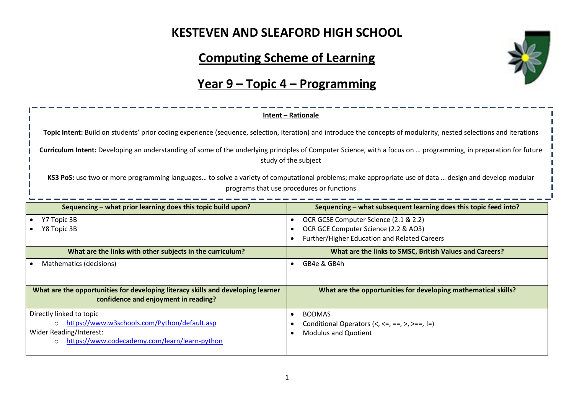# **KESTEVEN AND SLEAFORD HIGH SCHOOL**

# **Computing Scheme of Learning**

# **Year 9 – Topic 4 – Programming**

| Intent - Rationale                                                                                                                                                                                 |                                                                                                                                                   |  |  |  |
|----------------------------------------------------------------------------------------------------------------------------------------------------------------------------------------------------|---------------------------------------------------------------------------------------------------------------------------------------------------|--|--|--|
| Topic Intent: Build on students' prior coding experience (sequence, selection, iteration) and introduce the concepts of modularity, nested selections and iterations                               |                                                                                                                                                   |  |  |  |
| Curriculum Intent: Developing an understanding of some of the underlying principles of Computer Science, with a focus on  programming, in preparation for future<br>study of the subject           |                                                                                                                                                   |  |  |  |
| KS3 PoS: use two or more programming languages to solve a variety of computational problems; make appropriate use of data  design and develop modular<br>programs that use procedures or functions |                                                                                                                                                   |  |  |  |
| Sequencing – what prior learning does this topic build upon?                                                                                                                                       | Sequencing - what subsequent learning does this topic feed into?                                                                                  |  |  |  |
| Y7 Topic 3B<br>Y8 Topic 3B                                                                                                                                                                         | OCR GCSE Computer Science (2.1 & 2.2)<br>$\bullet$<br>OCR GCE Computer Science (2.2 & AO3)<br>Further/Higher Education and Related Careers        |  |  |  |
| What are the links with other subjects in the curriculum?                                                                                                                                          | What are the links to SMSC, British Values and Careers?                                                                                           |  |  |  |
| Mathematics (decisions)                                                                                                                                                                            | GB4e & GB4h                                                                                                                                       |  |  |  |
| What are the opportunities for developing literacy skills and developing learner<br>confidence and enjoyment in reading?                                                                           | What are the opportunities for developing mathematical skills?                                                                                    |  |  |  |
| Directly linked to topic<br>https://www.w3schools.com/Python/default.asp<br>Wider Reading/Interest:<br>https://www.codecademy.com/learn/learn-python<br>$\Omega$                                   | <b>BODMAS</b><br>$\bullet$<br>Conditional Operators $\langle \langle , \langle = , == , \rangle , \rangle == ,  =$<br><b>Modulus and Quotient</b> |  |  |  |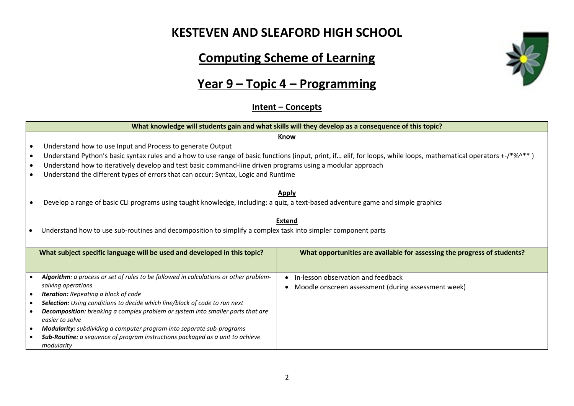#### **KESTEVEN AND SLEAFORD HIGH SCHOOL**

# **Computing Scheme of Learning**

#### **Year 9 – Topic 4 – Programming**

#### **Intent – Concepts**